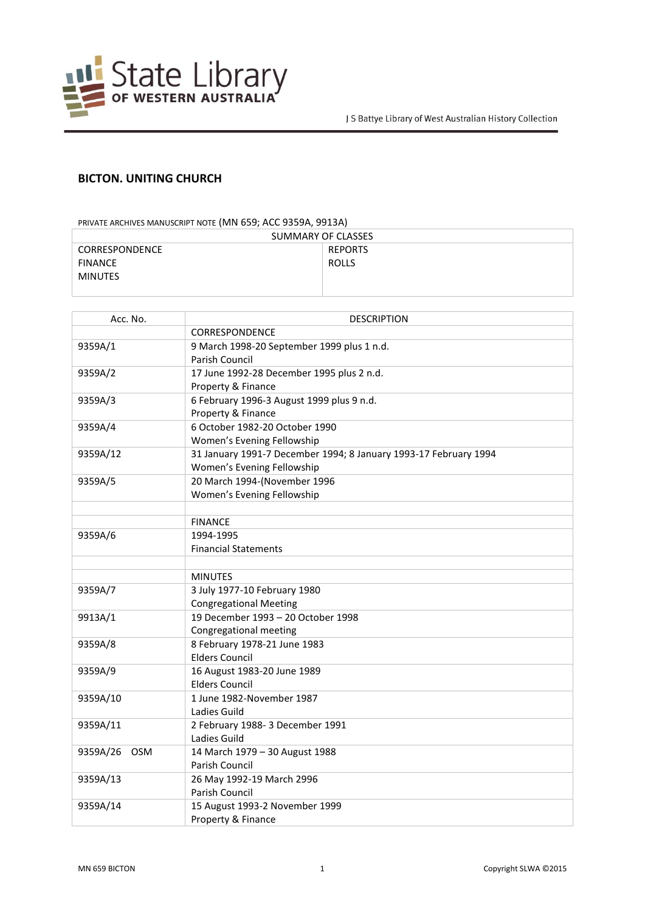

## **BICTON. UNITING CHURCH**

## PRIVATE ARCHIVES MANUSCRIPT NOTE (MN 659; ACC 9359A, 9913A)

| SUMMARY OF CLASSES    |                |
|-----------------------|----------------|
| <b>CORRESPONDENCE</b> | <b>REPORTS</b> |
| <b>FINANCE</b>        | <b>ROLLS</b>   |
| <b>MINUTES</b>        |                |
|                       |                |

| Acc. No.        | <b>DESCRIPTION</b>                                               |
|-----------------|------------------------------------------------------------------|
|                 | <b>CORRESPONDENCE</b>                                            |
| 9359A/1         | 9 March 1998-20 September 1999 plus 1 n.d.                       |
|                 | Parish Council                                                   |
| 9359A/2         | 17 June 1992-28 December 1995 plus 2 n.d.                        |
|                 | Property & Finance                                               |
| 9359A/3         | 6 February 1996-3 August 1999 plus 9 n.d.                        |
|                 | Property & Finance                                               |
| 9359A/4         | 6 October 1982-20 October 1990                                   |
|                 | Women's Evening Fellowship                                       |
| 9359A/12        | 31 January 1991-7 December 1994; 8 January 1993-17 February 1994 |
|                 | Women's Evening Fellowship                                       |
| 9359A/5         | 20 March 1994-(November 1996                                     |
|                 | Women's Evening Fellowship                                       |
|                 |                                                                  |
|                 | <b>FINANCE</b>                                                   |
| 9359A/6         | 1994-1995                                                        |
|                 | <b>Financial Statements</b>                                      |
|                 |                                                                  |
|                 | <b>MINUTES</b>                                                   |
| 9359A/7         | 3 July 1977-10 February 1980                                     |
|                 | <b>Congregational Meeting</b>                                    |
| 9913A/1         | 19 December 1993 - 20 October 1998                               |
|                 | Congregational meeting                                           |
| 9359A/8         | 8 February 1978-21 June 1983                                     |
|                 | <b>Elders Council</b>                                            |
| 9359A/9         | 16 August 1983-20 June 1989                                      |
|                 | <b>Elders Council</b>                                            |
| 9359A/10        | 1 June 1982-November 1987                                        |
|                 | Ladies Guild                                                     |
| 9359A/11        | 2 February 1988- 3 December 1991                                 |
|                 | <b>Ladies Guild</b>                                              |
| 9359A/26<br>OSM | 14 March 1979 - 30 August 1988                                   |
|                 | Parish Council                                                   |
| 9359A/13        | 26 May 1992-19 March 2996                                        |
|                 | Parish Council                                                   |
| 9359A/14        | 15 August 1993-2 November 1999                                   |
|                 | Property & Finance                                               |